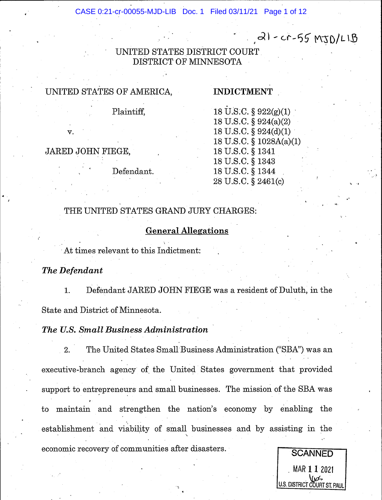CASE 0:21-cr-00055-MJD-LIB Doc. 1 Filed 03/11/21 Page 1 of 12

 $a l - c r - 55 MJD/LlB$ 

UNITED STATES DISTRICT COURT DISTRICT OF MINNESOTA

## UMTED STATES OF AMERICA.

## INDICTMENT

Plaintiff,

v.

JARED JOHN FIEGE,

Defendant.

18 U.S.C.  $\S 922(g)(1)$ 18 U.S.C.  $\S 924(a)(2)$ 18 U.S.C. § 924(d)(1) 18 U.S.C. § 1028A(a)(1) 18 U.S.C. S 1341 18 U.S.C. S 1343 18 U.S.C. S 1344 28 U.S.C. \$ 2461(c)

## THE UNITED STATES GRAND JURY CHARGES:

#### General Allesations

At times relevant to this Indictment:

The Defendant

1. Defendant JARED JOHN FIEGE was a resident of Duluth, in the State and District of Minnesota.

The U.S. Small Business Administration

2. The United States Small Business Administration ("SBA") was an executive-branch agency of the United States government that provided support to entrepreneurs and small businesses. The mission of the SBA was i to maintain and strengthen the nation's economy by enabling the establishment and viability of small businesses and by assisting in the \ economic recovery of communities after disasters.

> $MAR$  1 1 2021  $\sqrt{\omega}$ U.S. DISTRICT COURT ST. PAUL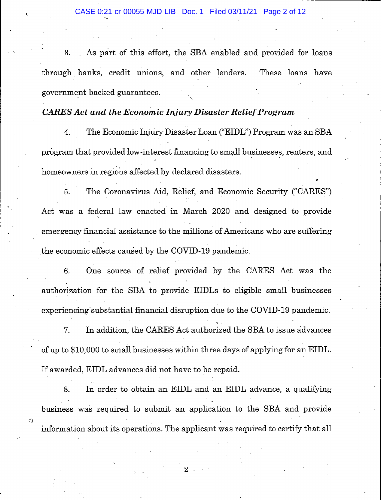3. As part of this effort, the SBA enabled and provided for loans through banks, credit unions, and other lenders. These loans have government-backed guarantees.

#### CARES Act and the Economic Injury Disaster Relief Program

4. The Economic Injury Disaster Loan ("EIDL") Program was an SBA program that provided low-interest financing to small businesses, renters, and. homeowners in regions affected by declared disasters.

I

5. The Coronavirus Aid, Relief, and Economic Security ("CARES") Act was a federal law enacted in March 2O2O and designed to provide emergency financial assistance to the millions of Americans who are suffering the economic effects caused by the COVID-19 pandemic.

6. One source of relief provided by the CARES Act was the . authorization for the SBA to provide EIDLs to eligible small businesses experiencing substantial financial disruption due to the COVID-19 pandemic.

7. In addition, the CARES Act authorized the SBA to issue advances ' of up to \$10,000 to small businesses within three days of applying for an EIDT,. If awarded, EIDL advances did not have to be repaid.

8. In order to obtain an EIDL and an EIDL advance, a qualifying business was required to submit an application to the SBA and provide. information about its operations. The applicant was required to certify that all

 $\overline{2}$ 

'<br>'2010<br>'2010

 $\mathcal{C}$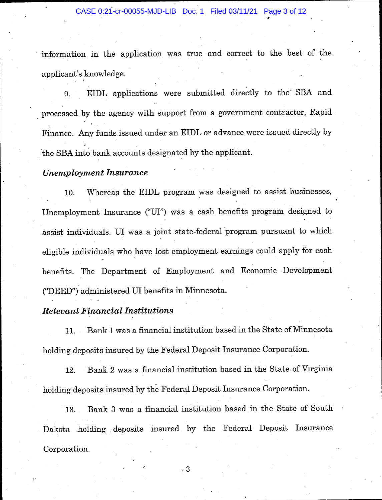information in the application was true and correct to the best of the applicant's knowledge.

j

9. EIDL applications were submitted directly to the' SBA and processed. by the agency with support from a government contractor, Rapid. Finance. Any funds issued under an EIDL or advance were issued directly by 1 'the SBA into bank accounts designated by the applicant.

#### Unemployment Insurance

10. Whereas the EIDL program was designed to assist businesses, Unemployment Insurance ("UI") was a cash benefits program designed to assist individuals. UI was a joint state-federal'program pursuant to which eligible individuals who have lost employment earnings could apply for cash benefits. The Department of Employment and Economic Development ("DEED") administered UI benefits in Minnesota.

#### **Relevant Financial Institutions**

11. Bank 1 was a financial institution based in the State of Minnesota holding deposits insured by the Federal Deposit Insurance Corporation.

12. Bank 2 was a financial institution based in the State of Virginia holding deposits insured by the Federal Deposit Insurance Corporation.

13. Bank 3 was a financial institution based in the State of South Dakota holding deposits insured by the Federal Deposit Insurance Corporation.

',3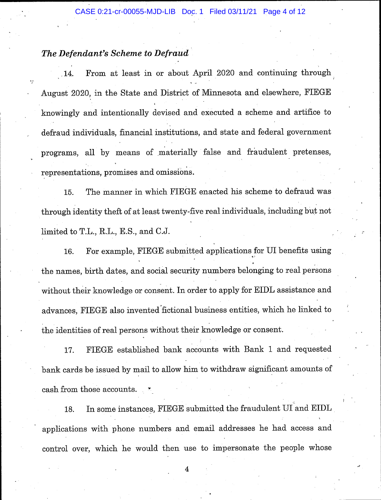#### The Defendant's Scheme to Defraud

 $.14.$ From at least in or about April 2020 and continuing through August 2020, in the State and District of Minnesota and elsewhere, FIEGE knowingly and intentionally devised and executed a scheme and artifice to defraud individuals, financial institutions, and state and federal government programs, all by means of materially false and fraudulent pretenses, representations, promises and omissions.

15. The manner in which FIEGE enacted his scheme to defraud was through identity theft of at least twenty-five real individuals, including but not limited to T.L., R.L., E.S., and C.J.

16. For example, FIEGE submitted applications for UI benefits using a: the names, birth dates, and social security numbers belonging to real persons without their knowledge or consent. In order to apply for EIDL assistance and advances, FIEGE also invented'fictional business entities, which he linked to the identities of real persons without their knowledge or consent.

17. FIEGE established bank accounts with Bank 1 and requested bank cards be issued by mail to allow him to withdraw significant amounts of cash from those accounts

18. In some instanceg, FIEGE submitted the fraudulent UI and EIDL applications with phone numbers and email addresses he had access and control over, which he would. then use to impersonate the people whose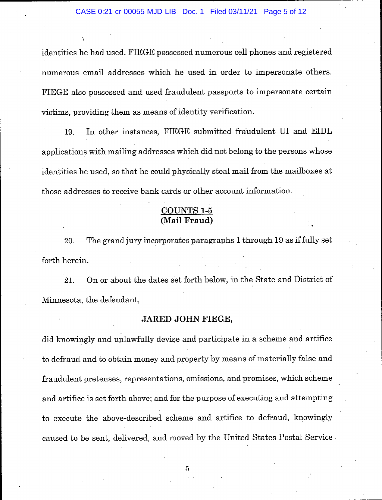identities he had used. FIEGE possessed numerous cell phones and registered numerous email addresses which he used in order to impersonate others. FIEGE also possessed and used fraudulent passports to impersonate certain victims, providing them as means of identity verification.

\

19. In other instances, FIEGE submitted fraudulent UI and EIDL applications with mailing addresses which did not belong to the persons whose identities he used, so that he could, physically steal mail from the mailboxes at those addresses to receive bank cards or other account information.

#### COUNTS 1-5 (Mail Fraud)

, :

20. The grand jury incorporates paragraphs 1 through 19 as if fully set forth herein.

21. On or about the dates set forth below, in the State and District of Minnesota, the defendant,

#### JARED JOHN FIEGE,

did knowingly and unlawfully devise and participate in a scheme and artifice to defraud and to obtain money and property by means of materially false and fraudulent pretenses, representations, omissions, and promises, which scheme and artifice is set forth above; and for the purpose of executing and attempting to execute the above-described. scheme and artifice to defraud., knowingly caused to be sent, delivered, and moved by the United States Postal Service.

 $\overline{5}$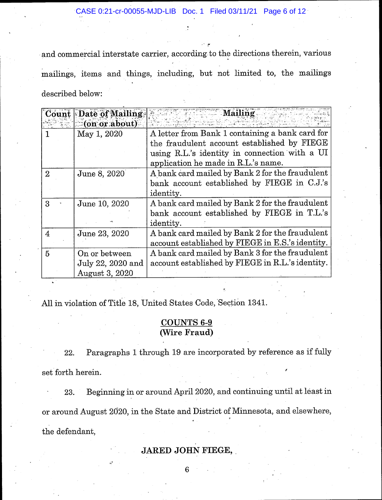,':f

and commercial interstate carrier, according to the directions therein, various mailings, items and things, including, but not limited to, the mailings described below:

|                | <b>Count Date of Mailing</b> | Mailing                                          |  |  |
|----------------|------------------------------|--------------------------------------------------|--|--|
|                | $\sim$ (on or about)         |                                                  |  |  |
|                | May 1, 2020                  | A letter from Bank 1 containing a bank card for  |  |  |
|                |                              | the fraudulent account established by FIEGE      |  |  |
|                |                              | using R.L.'s identity in connection with a UI    |  |  |
|                |                              | application he made in R.L.'s name.              |  |  |
| $\overline{2}$ | June 8, 2020                 | A bank card mailed by Bank 2 for the fraudulent  |  |  |
|                |                              | bank account established by FIEGE in C.J.'s      |  |  |
|                |                              | <i>identity.</i>                                 |  |  |
| $\mathbf{B}$   | June 10, 2020                | A bank card mailed by Bank 2 for the fraudulent  |  |  |
|                |                              | bank account established by FIEGE in T.L.'s      |  |  |
|                |                              | <i>identity.</i>                                 |  |  |
| 4              | June 23, 2020                | A bank card mailed by Bank 2 for the fraudulent  |  |  |
|                |                              | account established by FIEGE in E.S.'s identity. |  |  |
| 5              | On or between                | A bank card mailed by Bank 3 for the fraudulent  |  |  |
|                | July 22, 2020 and            | account established by FIEGE in R.L.'s identity. |  |  |
|                | August 3, 2020               |                                                  |  |  |

All in violation of Title 18, United States Code, Section 1341.

#### UNTS 6-9 (Wire Fraud)

22. Paragraphs 1 through 19 are incorporated by reference as if fully set forth herein.

' 23. Beginning in or around April 2020, and continuing until at least in or around August 2020, in the State and District of Minnesota, and elsewhere, the defendant,

## JARED JOHN FIEGE,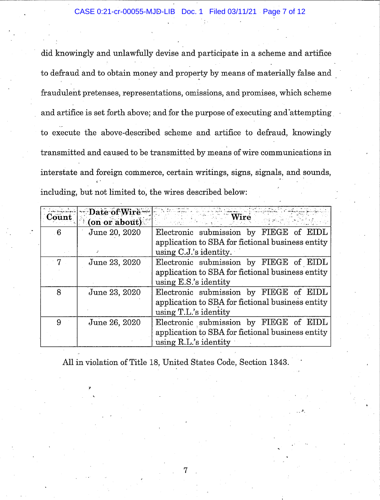did knowingly and unlawfully devise and participate in a scheme and artifice to defraud and to obtain money and property by means of materially false and fraudulent pretenses, representations, omissions, and promises, which scheme and artifice is set forth above; and for the purpose of executing and attempting to execute the above-described scheme and artifice to defraud, knowingly transmitted and caused to be transmitted by means of wire communications in interstate and foreign commerce, certain writings, signs, signals, and sounds, iincluding, but not limited to, the wires described below:

| <b>Count</b> | Date of Wire<br>(on or about) | Wire                                             |
|--------------|-------------------------------|--------------------------------------------------|
| -6           | June 20, 2020                 | Electronic submission by FIEGE of<br>EIDL        |
|              |                               | application to SBA for fictional business entity |
|              |                               | using $C.J.'s$ identity.                         |
| 7            | June 23, 2020                 | Electronic submission by FIEGE of EIDL           |
|              |                               | application to SBA for fictional business entity |
|              |                               | using $E.S.'s$ identity                          |
| 8            | June 23, 2020                 | Electronic submission by FIEGE of EIDL           |
|              |                               | application to SBA for fictional business entity |
|              |                               | using T.L.'s identity                            |
| 9            | June 26, 2020                 | Electronic submission by FIEGE of EIDL           |
|              |                               | application to SBA for fictional business entity |
|              |                               | using $R.L.'s$ identity                          |

All in violation of Title 18, United States Code, Section 1343.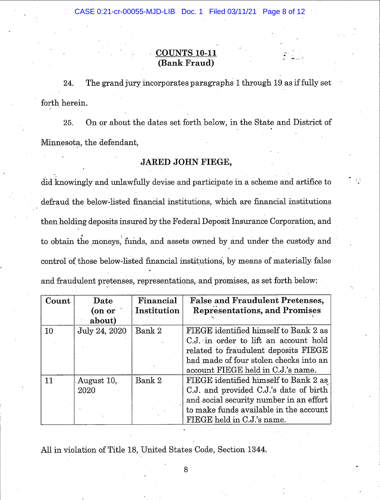### COUNTS 10-11 (Bank Fraud)

24. The grand jury incorporates paragraphs 1 through 19 as if fully set forth herein.

25. On or about the dates set forth below. in the State and District of Minnesota, the defendant,

#### JARED JOHN FIEGE.

did knowingly and unlawfully devise and participate in a scheme and artifice to defraud the below-listed financial institutions, which are financial institutions then holding deposits insured by the Federal Deposit Insurance Corporation, and to obtain the moneys, funds, and assets owned by and under the custody and control of those below-listed financial institutions, by means of materially false and fraudulent pretenses, representations, and promises, as set forth below:

| Count | Date          | Financial   | <b>False and Fraudulent Pretenses,</b>  |  |
|-------|---------------|-------------|-----------------------------------------|--|
|       | (on or        | Institution | <b>Representations, and Promises</b>    |  |
|       | about)        |             |                                         |  |
| 10    | July 24, 2020 | Bank 2      | FIEGE identified himself to Bank 2 as   |  |
|       |               |             | C.J. in order to lift an account hold   |  |
|       |               |             | related to fraudulent deposits FIEGE    |  |
|       |               |             | had made of four stolen checks into an  |  |
|       |               |             | account FIEGE held in C.J.'s name.      |  |
| 11    | August 10,    | Bank 2      | FIEGE identified himself to Bank 2 as   |  |
|       | 2020          |             | C.J. and provided C.J.'s date of birth  |  |
|       |               |             | and social security number in an effort |  |
|       |               |             | to make funds available in the account  |  |
|       |               |             | FIEGE held in C.J.'s name.              |  |

All in violation of Title 18, United States Code, Section 1344.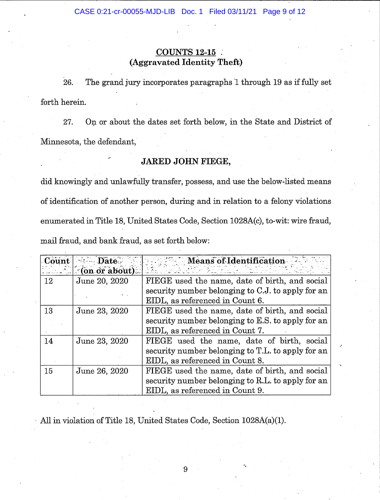#### COUNTS 12-15 . (Aggravated Identity Theft)

26. The grand jury incorporates paragraphs 1 through 19 as if fully set forth herein.

27. On or about the dates set forth below, in the State and District of Minnesota, the defendant,

## JARED JOHN FIEGE,

did knowingly and unlawfully transfer, possess, and use the below-listed means of identification of another person, during and in relation to a felony violations enumerated in Title 18, United States Code, Section 1028A(c), to-wit: wire fraud, mail fraud, and bank fraud, as set forth below:

| Count | $\blacksquare$ Date $\blacksquare$ | Means of Identification                           |  |  |
|-------|------------------------------------|---------------------------------------------------|--|--|
|       | $\sim$ (on or about) $\sim$        |                                                   |  |  |
| 12    | June 20, 2020                      | FIEGE used the name, date of birth, and social    |  |  |
|       |                                    | security number belonging to C.J. to apply for an |  |  |
|       |                                    | EIDL, as referenced in Count 6.                   |  |  |
| 13    | June 23, 2020                      | FIEGE used the name, date of birth, and social    |  |  |
|       |                                    | security number belonging to E.S. to apply for an |  |  |
|       |                                    | EIDL, as referenced in Count 7.                   |  |  |
| 14    | June 23, 2020                      | FIEGE used the name, date of birth, social        |  |  |
|       |                                    | security number belonging to T.L. to apply for an |  |  |
|       |                                    | EIDL, as referenced in Count 8.                   |  |  |
| 15    | June 26, 2020                      | FIEGE used the name, date of birth, and social    |  |  |
|       |                                    | security number belonging to R.L. to apply for an |  |  |
|       |                                    | EIDL, as referenced in Count 9.                   |  |  |

AII in violation of Title 18, United States Code, Section 1028A(a)(1).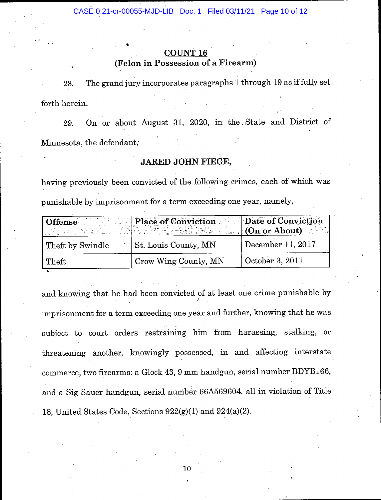# COUNT 1

## (Felon in Possession of a Firearm)

.

s

28. The grand jury incorporates paragraphs 1 through 19 as if fully set forth herein.

29. On or about August 31, 2020, in the. State and District of Minnesota, the defendant,

## JARED JOHN FIEGE,

having previously been convicted of the following crimes, each of which was punishable by imprisonment for a term exceeding one year, namely,

| Offense          | <b>Place of Conviction</b><br><u> 1922 actor Season and the start of the Season (On or About) in</u> | Date of Conviction |
|------------------|------------------------------------------------------------------------------------------------------|--------------------|
| Theft by Swindle | St. Louis County, MN                                                                                 | December 11, 2017  |
| $\mid$ Theft     | Crow Wing County, MN                                                                                 | October 3, 2011    |

and knowing that he had been convicted of at least one crime punishable by imprisonment for a term exceeding one year and further, knowing that he was subject to court orders restraining him from harassing, stalking, or threatening another, knowingly possessed., in and affecting interstate commerce, two firearms: a Glock 43, 9 mm handgun, serial number BDYB166, and a Sig Sauer handgun, serial number 66A569604, all in violation of Title 18, United States Code, Sections  $922(g)(1)$  and  $924(a)(2)$ .

> 10 !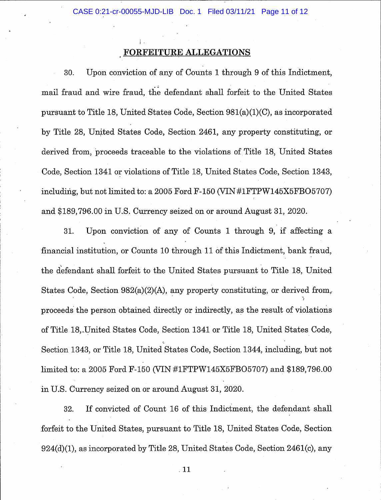#### FORFEITURE ALLEGATIONS

I

30. Upon conviction of any of Counts 1 through 9 of this Indictment, mail fraud and wire fraud, the defendant shall forfeit to the United States pursuant to Title 18, United States Code, Section  $981(a)(1)(C)$ , as incorporated by Title 28, United States Code, Section 246!, any property constituting, or derived from, proceeds traceable to the violations of Title 18, United States Code, Section 1341 or violations of Title 18, United States Code, Section 1343, including, but not limited to: a 2005 Ford  $F-150$  (VIN#1FTPW145X5FBO5707) and \$189,796.00 in U.S. Currency seized on or around August 3L, 2020.

31. Upon conviction of any of Counts 1 through 9, if affecting <sup>a</sup> financial institution, or Counts 10 through 11 of this Indictment, bank fraud, the defendant shall forfeit to the United States pursuant to Title 18, United States Code, Section 982(a)(2)(A), any property constituting, or derived from, proceeds the person obtained directly or indirectly, as the result of violations of Title 18,,United States Code, Section 1341 or Title 18, United States Code, Section 1343, or Title 18, United States Code, Section 1344, including, but not limited to: a 2005 Ford F-150 (VIN #1FTPW145X5FB 05707) and \$189,796.00 in U.S. Currency seized on or around August 3L,2020.

32. If convicted of Count 16 of this Indictment. the defendant shall forfeit to the United States, pursuant to Title 18, United States Code, Section 924(d)(1), as incorporated by Title 28, United States Code, Section 2461(c), any